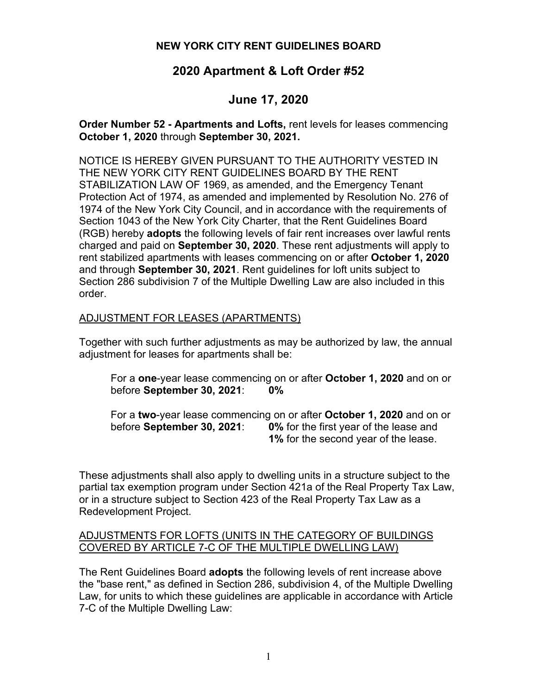## **NEW YORK CITY RENT GUIDELINES BOARD**

# **2020 Apartment & Loft Order #52**

# **June 17, 2020**

**Order Number 52 - Apartments and Lofts,** rent levels for leases commencing **October 1, 2020** through **September 30, 2021.**

NOTICE IS HEREBY GIVEN PURSUANT TO THE AUTHORITY VESTED IN THE NEW YORK CITY RENT GUIDELINES BOARD BY THE RENT STABILIZATION LAW OF 1969, as amended, and the Emergency Tenant Protection Act of 1974, as amended and implemented by Resolution No. 276 of 1974 of the New York City Council, and in accordance with the requirements of Section 1043 of the New York City Charter, that the Rent Guidelines Board (RGB) hereby **adopts** the following levels of fair rent increases over lawful rents charged and paid on **September 30, 2020**. These rent adjustments will apply to rent stabilized apartments with leases commencing on or after **October 1, 2020** and through **September 30, 2021**. Rent guidelines for loft units subject to Section 286 subdivision 7 of the Multiple Dwelling Law are also included in this order.

## ADJUSTMENT FOR LEASES (APARTMENTS)

Together with such further adjustments as may be authorized by law, the annual adjustment for leases for apartments shall be:

For a **one**-year lease commencing on or after **October 1, 2020** and on or before **September 30, 2021**: **0%**

For a **two**-year lease commencing on or after **October 1, 2020** and on or before **September 30, 2021**: **0%** for the first year of the lease and **1%** for the second year of the lease.

These adjustments shall also apply to dwelling units in a structure subject to the partial tax exemption program under Section 421a of the Real Property Tax Law, or in a structure subject to Section 423 of the Real Property Tax Law as a Redevelopment Project.

#### ADJUSTMENTS FOR LOFTS (UNITS IN THE CATEGORY OF BUILDINGS COVERED BY ARTICLE 7-C OF THE MULTIPLE DWELLING LAW)

The Rent Guidelines Board **adopts** the following levels of rent increase above the "base rent," as defined in Section 286, subdivision 4, of the Multiple Dwelling Law, for units to which these guidelines are applicable in accordance with Article 7-C of the Multiple Dwelling Law: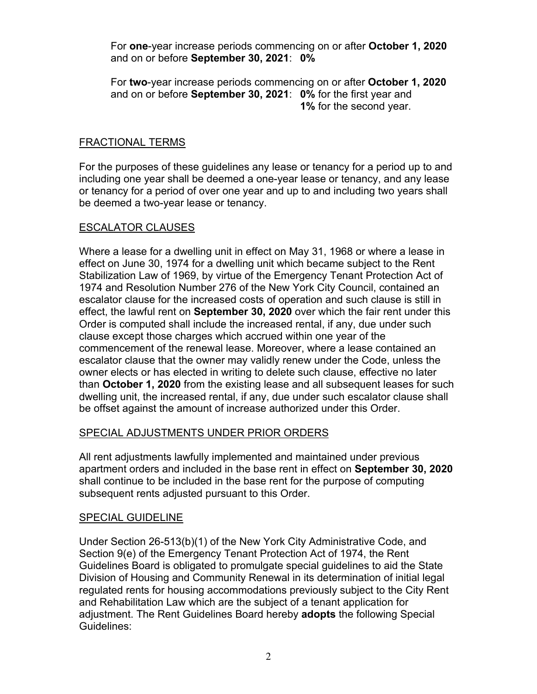For **one**-year increase periods commencing on or after **October 1, 2020** and on or before **September 30, 2021**: **0%**

For **two**-year increase periods commencing on or after **October 1, 2020** and on or before **September 30, 2021**: **0%** for the first year and **1%** for the second year.

## FRACTIONAL TERMS

For the purposes of these guidelines any lease or tenancy for a period up to and including one year shall be deemed a one-year lease or tenancy, and any lease or tenancy for a period of over one year and up to and including two years shall be deemed a two-year lease or tenancy.

#### ESCALATOR CLAUSES

Where a lease for a dwelling unit in effect on May 31, 1968 or where a lease in effect on June 30, 1974 for a dwelling unit which became subject to the Rent Stabilization Law of 1969, by virtue of the Emergency Tenant Protection Act of 1974 and Resolution Number 276 of the New York City Council, contained an escalator clause for the increased costs of operation and such clause is still in effect, the lawful rent on **September 30, 2020** over which the fair rent under this Order is computed shall include the increased rental, if any, due under such clause except those charges which accrued within one year of the commencement of the renewal lease. Moreover, where a lease contained an escalator clause that the owner may validly renew under the Code, unless the owner elects or has elected in writing to delete such clause, effective no later than **October 1, 2020** from the existing lease and all subsequent leases for such dwelling unit, the increased rental, if any, due under such escalator clause shall be offset against the amount of increase authorized under this Order.

#### SPECIAL ADJUSTMENTS UNDER PRIOR ORDERS

All rent adjustments lawfully implemented and maintained under previous apartment orders and included in the base rent in effect on **September 30, 2020** shall continue to be included in the base rent for the purpose of computing subsequent rents adjusted pursuant to this Order.

#### SPECIAL GUIDELINE

Under Section 26-513(b)(1) of the New York City Administrative Code, and Section 9(e) of the Emergency Tenant Protection Act of 1974, the Rent Guidelines Board is obligated to promulgate special guidelines to aid the State Division of Housing and Community Renewal in its determination of initial legal regulated rents for housing accommodations previously subject to the City Rent and Rehabilitation Law which are the subject of a tenant application for adjustment. The Rent Guidelines Board hereby **adopts** the following Special Guidelines: